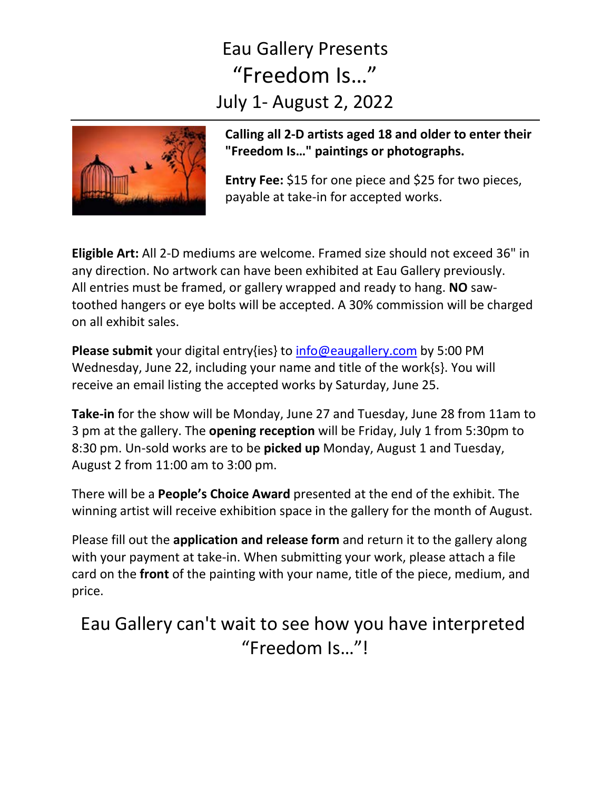## Eau Gallery Presents "Freedom Is…" July 1- August 2, 2022



**Calling all 2-D artists aged 18 and older to enter their "Freedom Is…" paintings or photographs.**

**Entry Fee:** \$15 for one piece and \$25 for two pieces, payable at take-in for accepted works.

**Eligible Art:** All 2-D mediums are welcome. Framed size should not exceed 36" in any direction. No artwork can have been exhibited at Eau Gallery previously. All entries must be framed, or gallery wrapped and ready to hang. **NO** sawtoothed hangers or eye bolts will be accepted. A 30% commission will be charged on all exhibit sales.

**Please submit** your digital entry{ies} to [info@eaugallery.com](mailto:info@eaugallery.com) by 5:00 PM Wednesday, June 22, including your name and title of the work{s}. You will receive an email listing the accepted works by Saturday, June 25.

**Take-in** for the show will be Monday, June 27 and Tuesday, June 28 from 11am to 3 pm at the gallery. The **opening reception** will be Friday, July 1 from 5:30pm to 8:30 pm. Un-sold works are to be **picked up** Monday, August 1 and Tuesday, August 2 from 11:00 am to 3:00 pm.

There will be a **People's Choice Award** presented at the end of the exhibit. The winning artist will receive exhibition space in the gallery for the month of August.

Please fill out the **application and release form** and return it to the gallery along with your payment at take-in. When submitting your work, please attach a file card on the **front** of the painting with your name, title of the piece, medium, and price.

Eau Gallery can't wait to see how you have interpreted "Freedom Is…"!